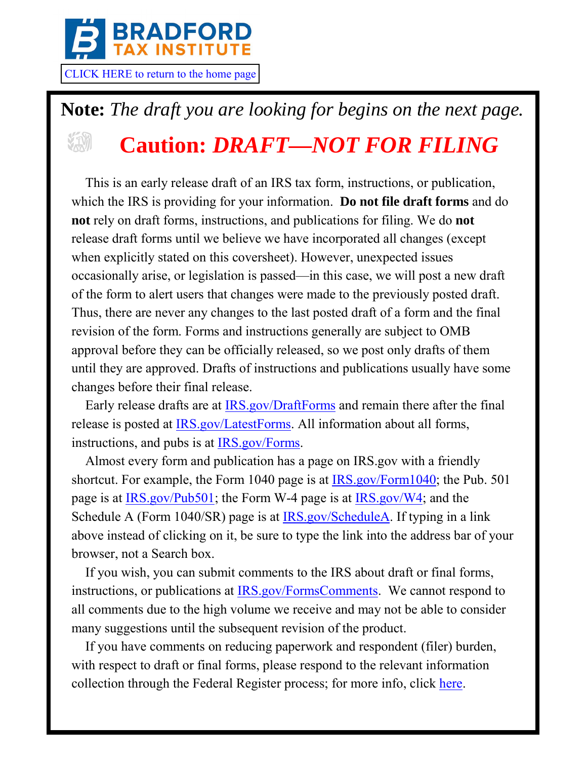

**Note:** *The draft you are looking for begins on the next page.*

## **Caution:** *DRAFT—NOT FOR FILING*

This is an early release draft of an IRS tax form, instructions, or publication, which the IRS is providing for your information. **Do not file draft forms** and do **not** rely on draft forms, instructions, and publications for filing. We do **not** release draft forms until we believe we have incorporated all changes (except when explicitly stated on this coversheet). However, unexpected issues occasionally arise, or legislation is passed—in this case, we will post a new draft of the form to alert users that changes were made to the previously posted draft. Thus, there are never any changes to the last posted draft of a form and the final revision of the form. Forms and instructions generally are subject to OMB approval before they can be officially released, so we post only drafts of them until they are approved. Drafts of instructions and publications usually have some changes before their final release.

Early release drafts are at [IRS.gov/DraftForms](https://www.irs.gov/draftforms) and remain there after the final release is posted at [IRS.gov/LatestForms.](https://www.irs.gov/downloadforms) All information about all forms, instructions, and pubs is at [IRS.gov/Forms.](https://www.irs.gov/forms)

Almost every form and publication has a page on IRS.gov with a friendly shortcut. For example, the Form 1040 page is at [IRS.gov/Form1040;](https://www.irs.gov/form1040) the Pub. 501 page is at [IRS.gov/Pub501;](https://www.irs.gov/pub501) the Form W-4 page is at [IRS.gov/W4;](https://www.irs.gov/w4) and the Schedule A (Form 1040/SR) page is at [IRS.gov/ScheduleA.](https://www.irs.gov/schedulea) If typing in a link above instead of clicking on it, be sure to type the link into the address bar of your browser, not a Search box.

If you wish, you can submit comments to the IRS about draft or final forms, instructions, or publications at [IRS.gov/FormsComments.](https://www.irs.gov/formscomments) We cannot respond to all comments due to the high volume we receive and may not be able to consider many suggestions until the subsequent revision of the product.

If you have comments on reducing paperwork and respondent (filer) burden, with respect to draft or final forms, please respond to the relevant in[forma](https://www.federalregister.gov/reader-aids/using-federalregister-gov/the-public-commenting-process)tion collection through the Federal Register process; for more info, click here.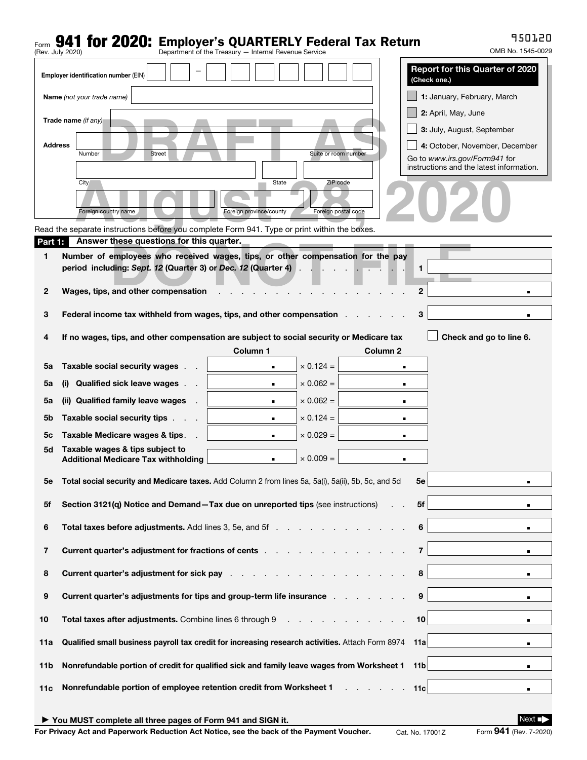### Form **941 for 2020:** Employer's QUARTERLY Federal Tax Return<br>(Rev. July 2020)<br>**Department of the Treasury — Internal Revenue Service**

950120

|  |  | OMB No. 1545-0029 |
|--|--|-------------------|
|--|--|-------------------|

| (Rev. July 2020) | Department of the Treasury - Internal Revenue Service                                                                                                                                                                          | OMB No. 1545-0029                                                         |  |  |  |  |
|------------------|--------------------------------------------------------------------------------------------------------------------------------------------------------------------------------------------------------------------------------|---------------------------------------------------------------------------|--|--|--|--|
|                  | Employer identification number (EIN)                                                                                                                                                                                           | <b>Report for this Quarter of 2020</b><br>(Check one.)                    |  |  |  |  |
|                  | Name (not your trade name)                                                                                                                                                                                                     | 1: January, February, March                                               |  |  |  |  |
|                  | Trade name (if any)                                                                                                                                                                                                            | 2: April, May, June                                                       |  |  |  |  |
|                  |                                                                                                                                                                                                                                | 3: July, August, September                                                |  |  |  |  |
| <b>Address</b>   | Number<br><b>Street</b><br>Suite or room number                                                                                                                                                                                | 4: October, November, December                                            |  |  |  |  |
|                  |                                                                                                                                                                                                                                | Go to www.irs.gov/Form941 for<br>instructions and the latest information. |  |  |  |  |
|                  | City<br>State<br>ZIP code                                                                                                                                                                                                      |                                                                           |  |  |  |  |
|                  | Foreign country name<br>Foreign province/county<br>Foreign postal code                                                                                                                                                         |                                                                           |  |  |  |  |
|                  | Read the separate instructions before you complete Form 941. Type or print within the boxes.                                                                                                                                   |                                                                           |  |  |  |  |
| Part 1:          | Answer these questions for this quarter.                                                                                                                                                                                       |                                                                           |  |  |  |  |
| 1                | Number of employees who received wages, tips, or other compensation for the pay<br>period including: Sept. 12 (Quarter 3) or Dec. 12 (Quarter 4)                                                                               | 1                                                                         |  |  |  |  |
|                  |                                                                                                                                                                                                                                |                                                                           |  |  |  |  |
| 2                | Wages, tips, and other compensation                                                                                                                                                                                            | $\mathbf{2}$                                                              |  |  |  |  |
| 3                | Federal income tax withheld from wages, tips, and other compensation.                                                                                                                                                          | 3                                                                         |  |  |  |  |
| 4                | If no wages, tips, and other compensation are subject to social security or Medicare tax<br>Column 1<br>Column <sub>2</sub>                                                                                                    | Check and go to line 6.                                                   |  |  |  |  |
| 5a               | $\times$ 0.124 =<br>Taxable social security wages.                                                                                                                                                                             |                                                                           |  |  |  |  |
| 5a               | $\times$ 0.062 =<br>Qualified sick leave wages.<br>(i)<br>$\blacksquare$                                                                                                                                                       |                                                                           |  |  |  |  |
| 5a               | (ii) Qualified family leave wages<br>$\times$ 0.062 =<br>п                                                                                                                                                                     |                                                                           |  |  |  |  |
| 5b               | $\times$ 0.124 =<br>Taxable social security tips.<br>٠                                                                                                                                                                         |                                                                           |  |  |  |  |
| 5с               | $\times$ 0.029 =<br>Taxable Medicare wages & tips.<br>$\blacksquare$                                                                                                                                                           |                                                                           |  |  |  |  |
| 5d               | Taxable wages & tips subject to<br>$\times$ 0.009 =<br><b>Additional Medicare Tax withholding</b><br>$\blacksquare$                                                                                                            |                                                                           |  |  |  |  |
|                  | Total social security and Medicare taxes. Add Column 2 from lines 5a, 5a(i), 5a(ii), 5b, 5c, and 5d<br>эe                                                                                                                      |                                                                           |  |  |  |  |
| 5f               | Section 3121(q) Notice and Demand-Tax due on unreported tips (see instructions)                                                                                                                                                | 5f                                                                        |  |  |  |  |
| 6                | Total taxes before adjustments. Add lines 3, 5e, and 5f                                                                                                                                                                        | 6                                                                         |  |  |  |  |
| $\overline{7}$   | Current quarter's adjustment for fractions of cents                                                                                                                                                                            | $\overline{7}$                                                            |  |  |  |  |
| 8                | Current quarter's adjustment for sick pay enter the state of the state of the state of the state of the state of the state of the state of the state of the state of the state of the state of the state of the state of the s | 8                                                                         |  |  |  |  |
| 9                | Current quarter's adjustments for tips and group-term life insurance enterpresed and the current quarter's adjustments for tips and group-term life insurance                                                                  | 9                                                                         |  |  |  |  |
| 10               | Total taxes after adjustments. Combine lines 6 through 9                                                                                                                                                                       | 10 <sup>1</sup>                                                           |  |  |  |  |
| 11a              | Qualified small business payroll tax credit for increasing research activities. Attach Form 8974 11a                                                                                                                           |                                                                           |  |  |  |  |
| 11b              | Nonrefundable portion of credit for qualified sick and family leave wages from Worksheet 1 11b                                                                                                                                 |                                                                           |  |  |  |  |
| 11c              | Nonrefundable portion of employee retention credit from Worksheet 1 and all contacts of the portion of employee retention credit from Worksheet 1 and 2000 and 2000 and 2000 and 2000 and 2000 and 2000 and 2000 and 2000 and  | 11c                                                                       |  |  |  |  |
|                  |                                                                                                                                                                                                                                |                                                                           |  |  |  |  |

| ▶ You MUST complete all three pages of Form 941 and SIGN it.                             |                 | Next                   |
|------------------------------------------------------------------------------------------|-----------------|------------------------|
| For Privacy Act and Paperwork Reduction Act Notice, see the back of the Payment Voucher. | Cat. No. 17001Z | Form 941 (Rev. 7-2020) |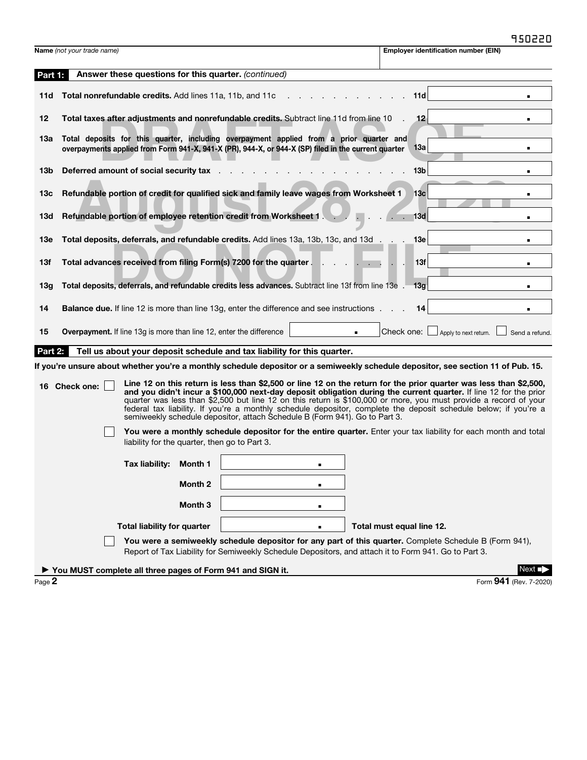|         | Name (not your trade name)                                                                                                                                                                     |                                                                                                      | <b>Employer identification number (EIN)</b>                                                                                                                                                                                                                                                                                                                                                                                                                                   |
|---------|------------------------------------------------------------------------------------------------------------------------------------------------------------------------------------------------|------------------------------------------------------------------------------------------------------|-------------------------------------------------------------------------------------------------------------------------------------------------------------------------------------------------------------------------------------------------------------------------------------------------------------------------------------------------------------------------------------------------------------------------------------------------------------------------------|
| Part 1: | Answer these questions for this quarter. (continued)                                                                                                                                           |                                                                                                      |                                                                                                                                                                                                                                                                                                                                                                                                                                                                               |
| 11d     | Total nonrefundable credits. Add lines 11a, 11b, and 11c                                                                                                                                       |                                                                                                      | 11d<br>$\blacksquare$                                                                                                                                                                                                                                                                                                                                                                                                                                                         |
| 12      | Total taxes after adjustments and nonrefundable credits. Subtract line 11d from line 10                                                                                                        |                                                                                                      | 12<br>٠                                                                                                                                                                                                                                                                                                                                                                                                                                                                       |
| 13а     | Total deposits for this quarter, including overpayment applied from a prior quarter and<br>overpayments applied from Form 941-X, 941-X (PR), 944-X, or 944-X (SP) filed in the current quarter |                                                                                                      | 13a<br>$\blacksquare$                                                                                                                                                                                                                                                                                                                                                                                                                                                         |
| 13b     | Deferred amount of social security tax                                                                                                                                                         |                                                                                                      | 13 <sub>b</sub>                                                                                                                                                                                                                                                                                                                                                                                                                                                               |
| 13c     | Refundable portion of credit for qualified sick and family leave wages from Worksheet 1                                                                                                        |                                                                                                      | 13 <sub>c</sub>                                                                                                                                                                                                                                                                                                                                                                                                                                                               |
| 13d     | Refundable portion of employee retention credit from Worksheet 1                                                                                                                               |                                                                                                      | 13d<br>п                                                                                                                                                                                                                                                                                                                                                                                                                                                                      |
| 13e     | Total deposits, deferrals, and refundable credits. Add lines 13a, 13b, 13c, and 13d                                                                                                            |                                                                                                      | 13e<br>$\blacksquare$                                                                                                                                                                                                                                                                                                                                                                                                                                                         |
| 13f     | Total advances received from filing Form(s) 7200 for the quarter.                                                                                                                              |                                                                                                      | 13f<br>п                                                                                                                                                                                                                                                                                                                                                                                                                                                                      |
| 13g     | Total deposits, deferrals, and refundable credits less advances. Subtract line 13f from line 13e.                                                                                              |                                                                                                      | 13a<br>п                                                                                                                                                                                                                                                                                                                                                                                                                                                                      |
| 14      | <b>Balance due.</b> If line 12 is more than line 13g, enter the difference and see instructions                                                                                                |                                                                                                      | 14<br>п                                                                                                                                                                                                                                                                                                                                                                                                                                                                       |
| 15      | <b>Overpayment.</b> If line 13g is more than line 12, enter the difference                                                                                                                     | $\blacksquare$                                                                                       | Check one:<br>Apply to next return.<br>Send a refund.                                                                                                                                                                                                                                                                                                                                                                                                                         |
| Part 2: | Tell us about your deposit schedule and tax liability for this quarter.                                                                                                                        |                                                                                                      |                                                                                                                                                                                                                                                                                                                                                                                                                                                                               |
|         |                                                                                                                                                                                                |                                                                                                      | If you're unsure about whether you're a monthly schedule depositor or a semiweekly schedule depositor, see section 11 of Pub. 15.                                                                                                                                                                                                                                                                                                                                             |
|         | 16 Check one:                                                                                                                                                                                  | semiweekly schedule depositor, attach Schedule B (Form 941). Go to Part 3.                           | Line 12 on this return is less than \$2,500 or line 12 on the return for the prior quarter was less than \$2,500,<br>and you didn't incur a \$100,000 next-day deposit obligation during the current quarter. If line 12 for the prior<br>quarter was less than \$2,500 but line 12 on this return is \$100,000 or more, you must provide a record of your<br>federal tax liability. If you're a monthly schedule depositor, complete the deposit schedule below; if you're a |
|         | liability for the quarter, then go to Part 3.                                                                                                                                                  |                                                                                                      | You were a monthly schedule depositor for the entire quarter. Enter your tax liability for each month and total                                                                                                                                                                                                                                                                                                                                                               |
|         | Tax liability: Month 1                                                                                                                                                                         | ٠                                                                                                    |                                                                                                                                                                                                                                                                                                                                                                                                                                                                               |
|         | Month <sub>2</sub>                                                                                                                                                                             |                                                                                                      |                                                                                                                                                                                                                                                                                                                                                                                                                                                                               |
|         | Month 3                                                                                                                                                                                        |                                                                                                      |                                                                                                                                                                                                                                                                                                                                                                                                                                                                               |
|         | <b>Total liability for quarter</b>                                                                                                                                                             |                                                                                                      | Total must equal line 12.                                                                                                                                                                                                                                                                                                                                                                                                                                                     |
|         |                                                                                                                                                                                                | Report of Tax Liability for Semiweekly Schedule Depositors, and attach it to Form 941. Go to Part 3. | You were a semiweekly schedule depositor for any part of this quarter. Complete Schedule B (Form 941),                                                                                                                                                                                                                                                                                                                                                                        |
|         | You MUST complete all three pages of Form 941 and SIGN it.                                                                                                                                     |                                                                                                      | Next                                                                                                                                                                                                                                                                                                                                                                                                                                                                          |
| Page 2  |                                                                                                                                                                                                |                                                                                                      | Form 941 (Rev. 7-2020)                                                                                                                                                                                                                                                                                                                                                                                                                                                        |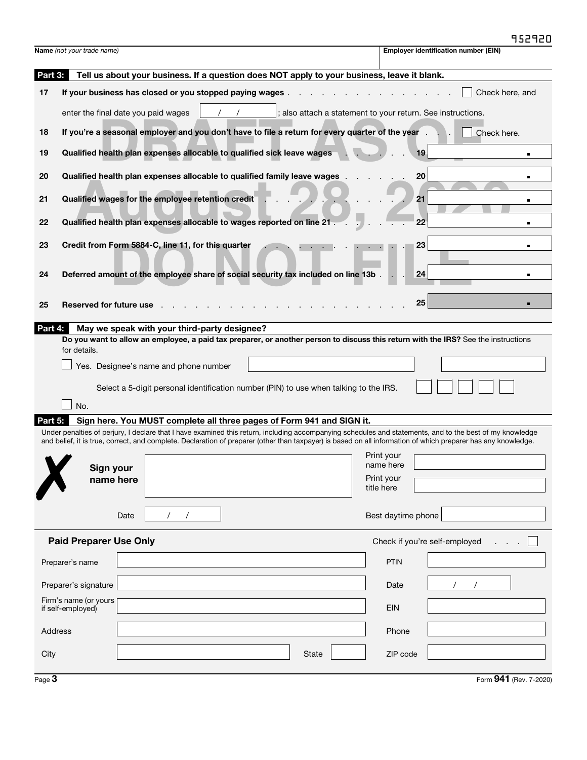|         | <b>Name</b> (not your trade name)          |                                                                                                  |       | <b>Employer identification number (EIN)</b>                                                                                                                                                                                                                                                                               |
|---------|--------------------------------------------|--------------------------------------------------------------------------------------------------|-------|---------------------------------------------------------------------------------------------------------------------------------------------------------------------------------------------------------------------------------------------------------------------------------------------------------------------------|
| Part 3: |                                            | Tell us about your business. If a question does NOT apply to your business, leave it blank.      |       |                                                                                                                                                                                                                                                                                                                           |
| 17      |                                            | If your business has closed or you stopped paying wages.                                         |       | Check here, and                                                                                                                                                                                                                                                                                                           |
|         | enter the final date you paid wages        |                                                                                                  |       | ; also attach a statement to your return. See instructions.                                                                                                                                                                                                                                                               |
| 18      |                                            | If you're a seasonal employer and you don't have to file a return for every quarter of the year. |       | Check here.                                                                                                                                                                                                                                                                                                               |
| 19      |                                            | Qualified health plan expenses allocable to qualified sick leave wages                           |       | 19<br>$\blacksquare$                                                                                                                                                                                                                                                                                                      |
| 20      |                                            | Qualified health plan expenses allocable to qualified family leave wages                         |       | 20<br>$\blacksquare$                                                                                                                                                                                                                                                                                                      |
| 21      |                                            | Qualified wages for the employee retention credit                                                |       | 21<br>$\blacksquare$                                                                                                                                                                                                                                                                                                      |
| 22      |                                            | Qualified health plan expenses allocable to wages reported on line 21.                           |       | 22<br>$\blacksquare$                                                                                                                                                                                                                                                                                                      |
| 23      |                                            | Credit from Form 5884-C, line 11, for this quarter                                               |       | 23<br>$\blacksquare$                                                                                                                                                                                                                                                                                                      |
|         |                                            |                                                                                                  |       |                                                                                                                                                                                                                                                                                                                           |
| 24      |                                            | Deferred amount of the employee share of social security tax included on line 13b                |       | 24<br>$\blacksquare$                                                                                                                                                                                                                                                                                                      |
| 25      | <b>Reserved for future use</b>             |                                                                                                  |       | 25<br>$\blacksquare$                                                                                                                                                                                                                                                                                                      |
|         |                                            |                                                                                                  |       |                                                                                                                                                                                                                                                                                                                           |
| Part 4: |                                            | May we speak with your third-party designee?                                                     |       | Do you want to allow an employee, a paid tax preparer, or another person to discuss this return with the IRS? See the instructions                                                                                                                                                                                        |
|         | for details.                               |                                                                                                  |       |                                                                                                                                                                                                                                                                                                                           |
|         |                                            | Yes. Designee's name and phone number                                                            |       |                                                                                                                                                                                                                                                                                                                           |
|         |                                            | Select a 5-digit personal identification number (PIN) to use when talking to the IRS.            |       |                                                                                                                                                                                                                                                                                                                           |
|         | No.                                        |                                                                                                  |       |                                                                                                                                                                                                                                                                                                                           |
| Part 5: |                                            | Sign here. You MUST complete all three pages of Form 941 and SIGN it.                            |       |                                                                                                                                                                                                                                                                                                                           |
|         |                                            |                                                                                                  |       | Under penalties of perjury, I declare that I have examined this return, including accompanying schedules and statements, and to the best of my knowledge<br>and belief, it is true, correct, and complete. Declaration of preparer (other than taxpayer) is based on all information of which preparer has any knowledge. |
|         |                                            |                                                                                                  |       | Print your<br>name here                                                                                                                                                                                                                                                                                                   |
|         | Sign your<br>name nere                     |                                                                                                  |       | Print your                                                                                                                                                                                                                                                                                                                |
|         |                                            |                                                                                                  |       | title here                                                                                                                                                                                                                                                                                                                |
|         | Date                                       |                                                                                                  |       | Best daytime phone                                                                                                                                                                                                                                                                                                        |
|         | <b>Paid Preparer Use Only</b>              |                                                                                                  |       | Check if you're self-employed                                                                                                                                                                                                                                                                                             |
|         | Preparer's name                            |                                                                                                  |       | <b>PTIN</b>                                                                                                                                                                                                                                                                                                               |
|         | Preparer's signature                       |                                                                                                  |       | Date                                                                                                                                                                                                                                                                                                                      |
|         | Firm's name (or yours<br>if self-employed) |                                                                                                  |       | <b>EIN</b>                                                                                                                                                                                                                                                                                                                |
| Address |                                            |                                                                                                  |       | Phone                                                                                                                                                                                                                                                                                                                     |
| City    |                                            |                                                                                                  | State | ZIP code                                                                                                                                                                                                                                                                                                                  |
| Page 3  |                                            |                                                                                                  |       | Form 941 (Rev. 7-2020)                                                                                                                                                                                                                                                                                                    |
|         |                                            |                                                                                                  |       |                                                                                                                                                                                                                                                                                                                           |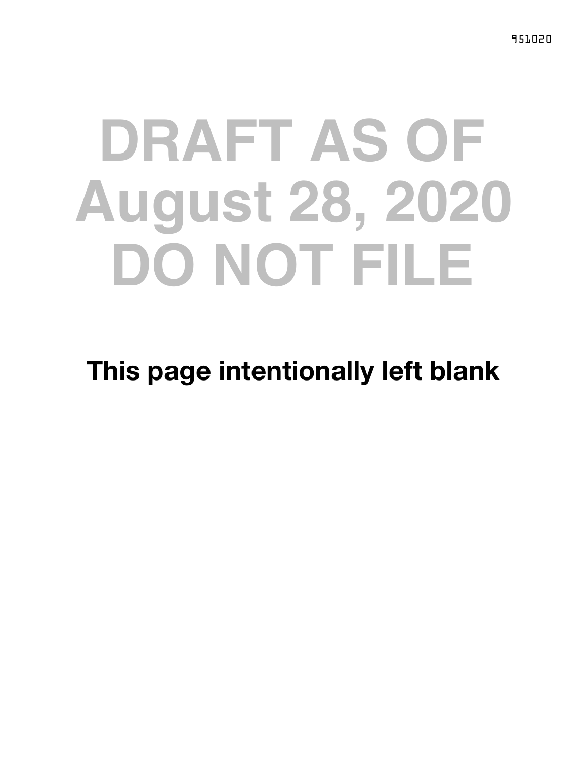# **DO NOT FILE DRAFT AS OF August 28, 2020**

This page intentionally left blank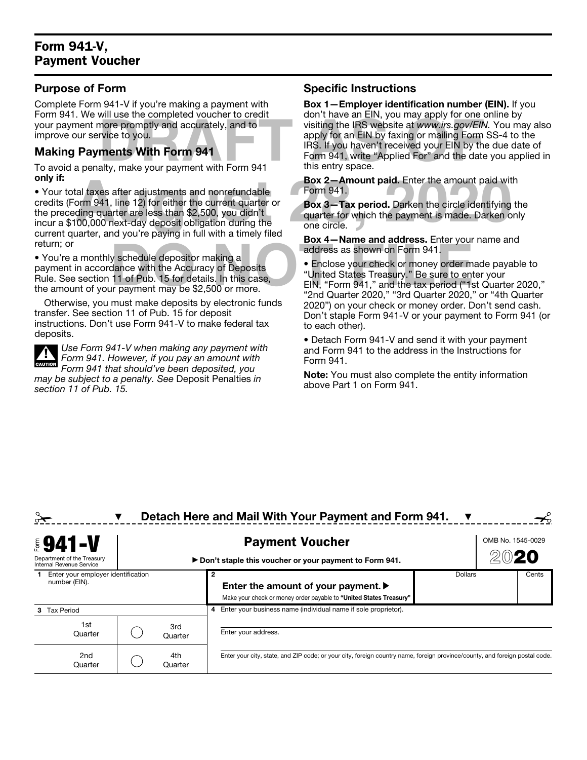#### Form 941-V, Payment Voucher

#### Purpose of Form

Complete Form 941-V if you're making a payment with Form 941. We will use the completed voucher to credit your payment more promptly and accurately, and to improve our service to you.

#### Making Payments With Form 941

To avoid a penalty, make your payment with Form 941 only if:

**August 2-Amount paid.** Enter the amount paid with the must paid with the strengthend and nonrefundable<br>orm 941, line 12) for either the current quarter or<br>ding quarter are less than \$2,500, you didn't<br>100,000 next-day dep • Your total taxes after adjustments and nonrefundable credits (Form 941, line 12) for either the current quarter or the preceding quarter are less than \$2,500, you didn't incur a \$100,000 next-day deposit obligation during the current quarter, and you're paying in full with a timely filed return; or

y schedule depositor making a<br>dance with the Accuracy of Deposits<br>11 of Pub. 15 for details. In this case,<br>In the same and address as shown on Form 941.<br>EIN, "Form 941," and the tax period ("1s<br>2nd Quarter 2020." "3rd Quar • You're a monthly schedule depositor making a payment in accordance with the Accuracy of Deposits Rule. See section 11 of Pub. 15 for details. In this case, the amount of your payment may be \$2,500 or more.

Otherwise, you must make deposits by electronic funds transfer. See section 11 of Pub. 15 for deposit instructions. Don't use Form 941-V to make federal tax deposits.

▲! CAUTION *Use Form 941-V when making any payment with Form 941. However, if you pay an amount with Form 941 that should've been deposited, you* 

*may be subject to a penalty. See* Deposit Penalties *in section 11 of Pub. 15.*

#### Specific Instructions

Will use the completed volcher to credit of the don't have an EIN, you may apply for one of<br>more promptly and accurately, and to<br>rvice to you.<br>**DRAFT AS OF AS OF A SEX OF A SEX AS OF A SEX AND AND MAKE THANGE AND MORE THAN** Box 1—Employer identification number (EIN). If you don't have an EIN, you may apply for one online by visiting the IRS website at *www.irs.gov/EIN.* You may also apply for an EIN by faxing or mailing Form SS-4 to the IRS. If you haven't received your EIN by the due date of Form 941, write "Applied For" and the date you applied in this entry space.

> Box 2—Amount paid. Enter the amount paid with Form 941.

Box 3—Tax period. Darken the circle identifying the quarter for which the payment is made. Darken only one circle.

Box 4—Name and address. Enter your name and address as shown on Form 941.

• Enclose your check or money order made payable to "United States Treasury." Be sure to enter your EIN, "Form 941," and the tax period ("1st Quarter 2020," "2nd Quarter 2020," "3rd Quarter 2020," or "4th Quarter 2020") on your check or money order. Don't send cash. Don't staple Form 941-V or your payment to Form 941 (or to each other).

• Detach Form 941-V and send it with your payment and Form 941 to the address in the Instructions for Form 941.

Note: You must also complete the entity information above Part 1 on Form 941.

|                                                                          |                | Detach Here and Mail With Your Payment and Form 941.                                                                          |                |                   |       |
|--------------------------------------------------------------------------|----------------|-------------------------------------------------------------------------------------------------------------------------------|----------------|-------------------|-------|
| <b>\$941-V</b><br>Department of the Treasury<br>Internal Revenue Service |                | <b>Payment Voucher</b><br>► Don't staple this voucher or your payment to Form 941.                                            |                | OMB No. 1545-0029 |       |
| Enter your employer identification<br>number (EIN).                      |                | Enter the amount of your payment. $\blacktriangleright$<br>Make your check or money order payable to "United States Treasury" | <b>Dollars</b> |                   | Cents |
| <b>Tax Period</b><br>3.                                                  |                | 4 Enter your business name (individual name if sole proprietor).                                                              |                |                   |       |
| 1st<br>Quarter                                                           | 3rd<br>Quarter | Enter your address.                                                                                                           |                |                   |       |
| 2 <sub>nd</sub><br>Quarter                                               | 4th<br>Quarter | Enter your city, state, and ZIP code; or your city, foreign country name, foreign province/county, and foreign postal code.   |                |                   |       |